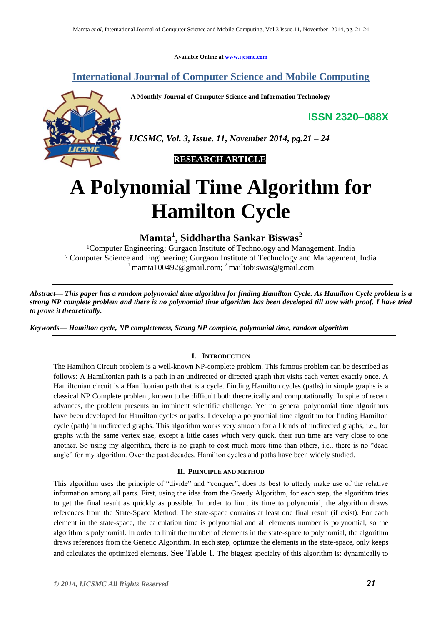**Available Online at [www.ijcsmc.com](http://www.ijcsmc.com/)**

# **International Journal of Computer Science and Mobile Computing**

**A Monthly Journal of Computer Science and Information Technology**

**ISSN 2320–088X**



*IJCSMC, Vol. 3, Issue. 11, November 2014, pg.21 – 24*

 **RESEARCH ARTICLE**

# **A Polynomial Time Algorithm for Hamilton Cycle**

# **Mamta<sup>1</sup> , Siddhartha Sankar Biswas<sup>2</sup>**

<sup>1</sup>Computer Engineering: Gurgaon Institute of Technology and Management, India ² Computer Science and Engineering; Gurgaon Institute of Technology and Management, India  $\frac{1}{1}$  mamta100492@gmail.com;  $\frac{2}{1}$  mailtobiswas@gmail.com

*Abstract— This paper has a random polynomial time algorithm for finding Hamilton Cycle. As Hamilton Cycle problem is a strong NP complete problem and there is no polynomial time algorithm has been developed till now with proof. I have tried to prove it theoretically.*

*Keywords— Hamilton cycle, NP completeness, Strong NP complete, polynomial time, random algorithm*

# **I. INTRODUCTION**

The Hamilton Circuit problem is a well-known NP-complete problem. This famous problem can be described as follows: A Hamiltonian path is a path in an undirected or directed graph that visits each vertex exactly once. A Hamiltonian circuit is a Hamiltonian path that is a cycle. Finding Hamilton cycles (paths) in simple graphs is a classical NP Complete problem, known to be difficult both theoretically and computationally. In spite of recent advances, the problem presents an imminent scientific challenge. Yet no general polynomial time algorithms have been developed for Hamilton cycles or paths. I develop a polynomial time algorithm for finding Hamilton cycle (path) in undirected graphs. This algorithm works very smooth for all kinds of undirected graphs, i.e., for graphs with the same vertex size, except a little cases which very quick, their run time are very close to one another. So using my algorithm, there is no graph to cost much more time than others, i.e., there is no "dead angle" for my algorithm. Over the past decades, Hamilton cycles and paths have been widely studied.

# **II. PRINCIPLE AND METHOD**

This algorithm uses the principle of "divide" and "conquer", does its best to utterly make use of the relative information among all parts. First, using the idea from the Greedy Algorithm, for each step, the algorithm tries to get the final result as quickly as possible. In order to limit its time to polynomial, the algorithm draws references from the State-Space Method. The state-space contains at least one final result (if exist). For each element in the state-space, the calculation time is polynomial and all elements number is polynomial, so the algorithm is polynomial. In order to limit the number of elements in the state-space to polynomial, the algorithm draws references from the Genetic Algorithm. In each step, optimize the elements in the state-space, only keeps and calculates the optimized elements. See Table I. The biggest specialty of this algorithm is: dynamically to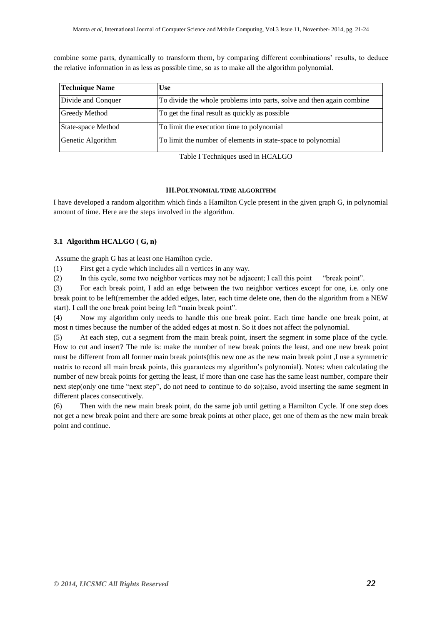combine some parts, dynamically to transform them, by comparing different combinations' results, to deduce the relative information in as less as possible time, so as to make all the algorithm polynomial.

| <b>Technique Name</b> | <b>Use</b>                                                            |
|-----------------------|-----------------------------------------------------------------------|
| Divide and Conquer    | To divide the whole problems into parts, solve and then again combine |
| Greedy Method         | To get the final result as quickly as possible                        |
| State-space Method    | To limit the execution time to polynomial                             |
| Genetic Algorithm     | To limit the number of elements in state-space to polynomial          |

Table I Techniques used in HCALGO

## **III.POLYNOMIAL TIME ALGORITHM**

I have developed a random algorithm which finds a Hamilton Cycle present in the given graph G, in polynomial amount of time. Here are the steps involved in the algorithm.

## **3.1 Algorithm HCALGO ( G, n)**

Assume the graph G has at least one Hamilton cycle.

(1) First get a cycle which includes all n vertices in any way.

(2) In this cycle, some two neighbor vertices may not be adjacent; I call this point "break point".

(3) For each break point, I add an edge between the two neighbor vertices except for one, i.e. only one break point to be left(remember the added edges, later, each time delete one, then do the algorithm from a NEW start). I call the one break point being left "main break point".

(4) Now my algorithm only needs to handle this one break point. Each time handle one break point, at most n times because the number of the added edges at most n. So it does not affect the polynomial.

(5) At each step, cut a segment from the main break point, insert the segment in some place of the cycle. How to cut and insert? The rule is: make the number of new break points the least, and one new break point must be different from all former main break points(this new one as the new main break point ,I use a symmetric matrix to record all main break points, this guarantees my algorithm's polynomial). Notes: when calculating the number of new break points for getting the least, if more than one case has the same least number, compare their next step(only one time "next step", do not need to continue to do so);also, avoid inserting the same segment in different places consecutively.

(6) Then with the new main break point, do the same job until getting a Hamilton Cycle. If one step does not get a new break point and there are some break points at other place, get one of them as the new main break point and continue.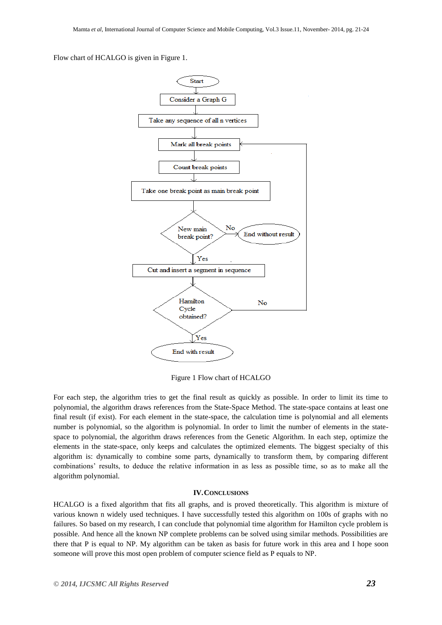Flow chart of HCALGO is given in Figure 1.



Figure 1 Flow chart of HCALGO

For each step, the algorithm tries to get the final result as quickly as possible. In order to limit its time to polynomial, the algorithm draws references from the State-Space Method. The state-space contains at least one final result (if exist). For each element in the state-space, the calculation time is polynomial and all elements number is polynomial, so the algorithm is polynomial. In order to limit the number of elements in the statespace to polynomial, the algorithm draws references from the Genetic Algorithm. In each step, optimize the elements in the state-space, only keeps and calculates the optimized elements. The biggest specialty of this algorithm is: dynamically to combine some parts, dynamically to transform them, by comparing different combinations' results, to deduce the relative information in as less as possible time, so as to make all the algorithm polynomial.

#### **IV.CONCLUSIONS**

HCALGO is a fixed algorithm that fits all graphs, and is proved theoretically. This algorithm is mixture of various known n widely used techniques. I have successfully tested this algorithm on 100s of graphs with no failures. So based on my research, I can conclude that polynomial time algorithm for Hamilton cycle problem is possible. And hence all the known NP complete problems can be solved using similar methods. Possibilities are there that P is equal to NP. My algorithm can be taken as basis for future work in this area and I hope soon someone will prove this most open problem of computer science field as P equals to NP.